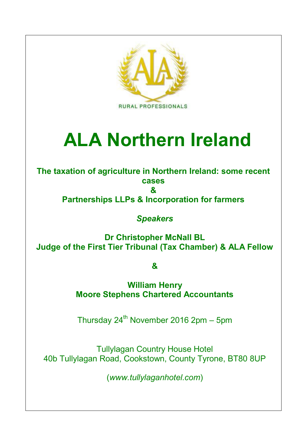

# **ALA Northern Ireland**

**The taxation of agriculture in Northern Ireland: some recent cases &**

**Partnerships LLPs & Incorporation for farmers**

*Speakers*

**Dr Christopher McNall BL Judge of the First Tier Tribunal (Tax Chamber) & ALA Fellow**

**&**

**William Henry Moore Stephens Chartered Accountants**

Thursday  $24^{th}$  November 2016 2pm - 5pm

Tullylagan Country House Hotel 40b Tullylagan Road, Cookstown, County Tyrone, BT80 8UP

(*www.tullylaganhotel.com*)